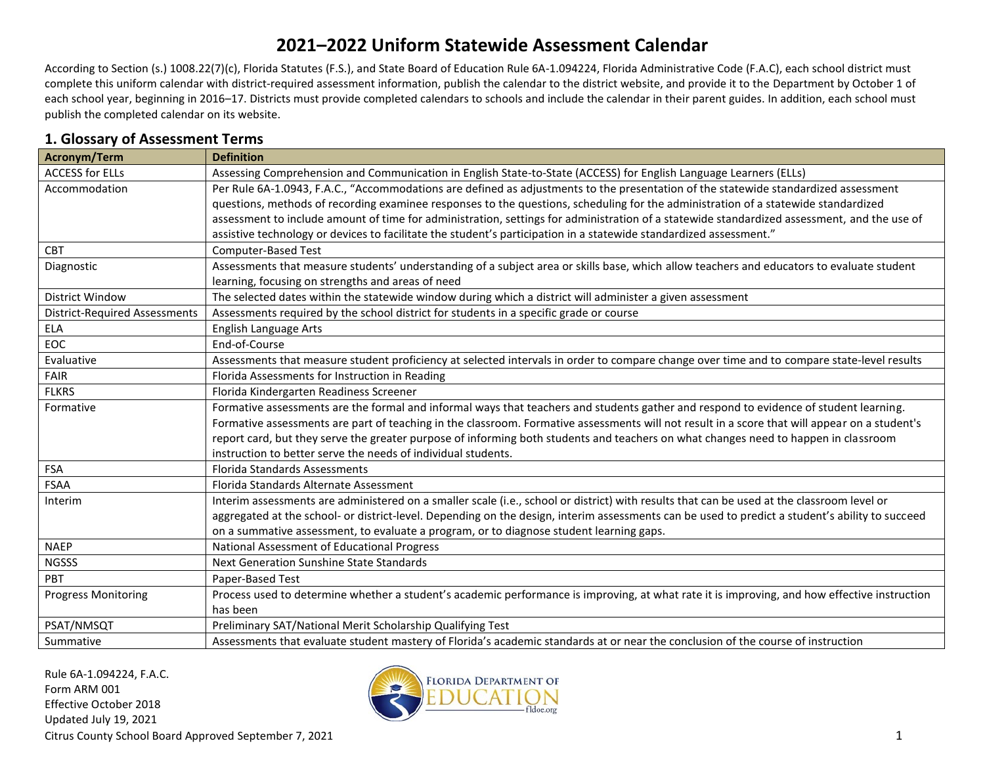According to Section (s.) 1008.22(7)(c), Florida Statutes (F.S.), and State Board of Education Rule 6A-1.094224, Florida Administrative Code (F.A.C), each school district must complete this uniform calendar with district-required assessment information, publish the calendar to the district website, and provide it to the Department by October 1 of each school year, beginning in 2016–17. Districts must provide completed calendars to schools and include the calendar in their parent guides. In addition, each school must publish the completed calendar on its website.

| Acronym/Term                         | <b>Definition</b>                                                                                                                               |
|--------------------------------------|-------------------------------------------------------------------------------------------------------------------------------------------------|
| <b>ACCESS for ELLs</b>               | Assessing Comprehension and Communication in English State-to-State (ACCESS) for English Language Learners (ELLs)                               |
| Accommodation                        | Per Rule 6A-1.0943, F.A.C., "Accommodations are defined as adjustments to the presentation of the statewide standardized assessment             |
|                                      | questions, methods of recording examinee responses to the questions, scheduling for the administration of a statewide standardized              |
|                                      | assessment to include amount of time for administration, settings for administration of a statewide standardized assessment, and the use of     |
|                                      | assistive technology or devices to facilitate the student's participation in a statewide standardized assessment."                              |
| <b>CBT</b>                           | <b>Computer-Based Test</b>                                                                                                                      |
| Diagnostic                           | Assessments that measure students' understanding of a subject area or skills base, which allow teachers and educators to evaluate student       |
|                                      | learning, focusing on strengths and areas of need                                                                                               |
| <b>District Window</b>               | The selected dates within the statewide window during which a district will administer a given assessment                                       |
| <b>District-Required Assessments</b> | Assessments required by the school district for students in a specific grade or course                                                          |
| <b>ELA</b>                           | <b>English Language Arts</b>                                                                                                                    |
| EOC                                  | End-of-Course                                                                                                                                   |
| Evaluative                           | Assessments that measure student proficiency at selected intervals in order to compare change over time and to compare state-level results      |
| FAIR                                 | Florida Assessments for Instruction in Reading                                                                                                  |
| <b>FLKRS</b>                         | Florida Kindergarten Readiness Screener                                                                                                         |
| Formative                            | Formative assessments are the formal and informal ways that teachers and students gather and respond to evidence of student learning.           |
|                                      | Formative assessments are part of teaching in the classroom. Formative assessments will not result in a score that will appear on a student's   |
|                                      | report card, but they serve the greater purpose of informing both students and teachers on what changes need to happen in classroom             |
|                                      | instruction to better serve the needs of individual students.                                                                                   |
| <b>FSA</b>                           | <b>Florida Standards Assessments</b>                                                                                                            |
| <b>FSAA</b>                          | Florida Standards Alternate Assessment                                                                                                          |
| Interim                              | Interim assessments are administered on a smaller scale (i.e., school or district) with results that can be used at the classroom level or      |
|                                      | aggregated at the school- or district-level. Depending on the design, interim assessments can be used to predict a student's ability to succeed |
|                                      | on a summative assessment, to evaluate a program, or to diagnose student learning gaps.                                                         |
| <b>NAEP</b>                          | National Assessment of Educational Progress                                                                                                     |
| <b>NGSSS</b>                         | Next Generation Sunshine State Standards                                                                                                        |
| PBT                                  | Paper-Based Test                                                                                                                                |
| <b>Progress Monitoring</b>           | Process used to determine whether a student's academic performance is improving, at what rate it is improving, and how effective instruction    |
|                                      | has been                                                                                                                                        |
| PSAT/NMSQT                           | Preliminary SAT/National Merit Scholarship Qualifying Test                                                                                      |
| Summative                            | Assessments that evaluate student mastery of Florida's academic standards at or near the conclusion of the course of instruction                |

### **1. Glossary of Assessment Terms**

Rule 6A-1.094224, F.A.C. Form ARM 001 Effective October 2018 Updated July 19, 2021

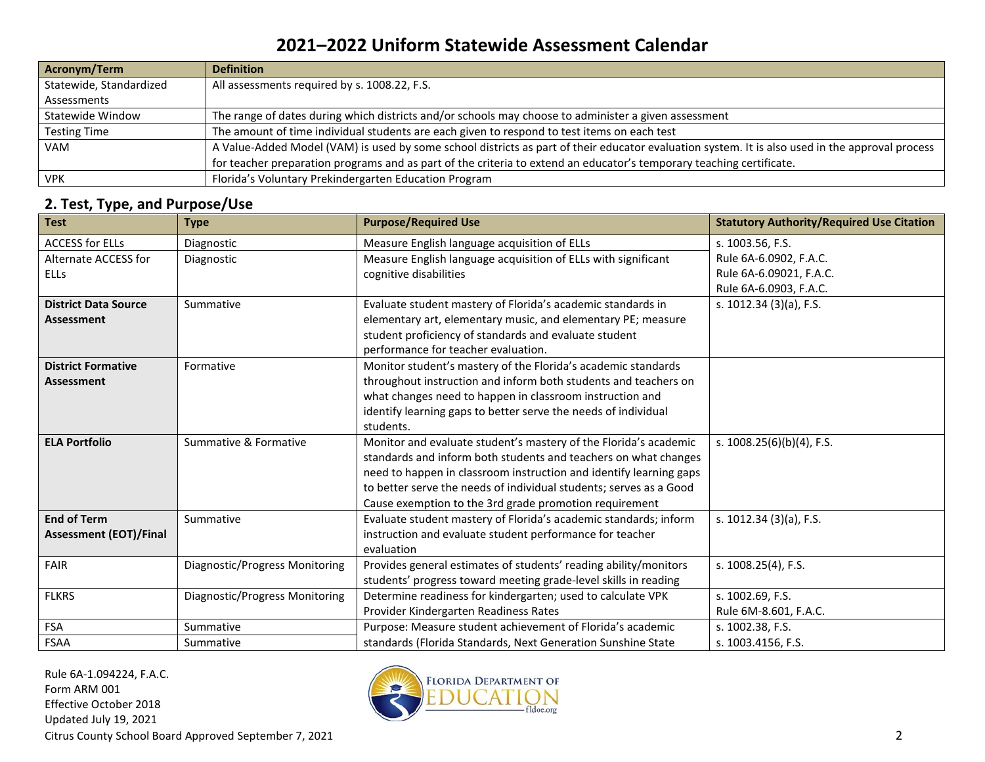| Acronym/Term            | <b>Definition</b>                                                                                                                               |
|-------------------------|-------------------------------------------------------------------------------------------------------------------------------------------------|
| Statewide, Standardized | All assessments required by s. 1008.22, F.S.                                                                                                    |
| Assessments             |                                                                                                                                                 |
| Statewide Window        | The range of dates during which districts and/or schools may choose to administer a given assessment                                            |
| <b>Testing Time</b>     | The amount of time individual students are each given to respond to test items on each test                                                     |
| VAM                     | A Value-Added Model (VAM) is used by some school districts as part of their educator evaluation system. It is also used in the approval process |
|                         | for teacher preparation programs and as part of the criteria to extend an educator's temporary teaching certificate.                            |
| <b>VPK</b>              | Florida's Voluntary Prekindergarten Education Program                                                                                           |

### **2. Test, Type, and Purpose/Use**

| <b>Test</b>                   | <b>Type</b>                    | <b>Purpose/Required Use</b>                                        | <b>Statutory Authority/Required Use Citation</b> |
|-------------------------------|--------------------------------|--------------------------------------------------------------------|--------------------------------------------------|
| <b>ACCESS for ELLs</b>        | Diagnostic                     | Measure English language acquisition of ELLs                       | s. 1003.56, F.S.                                 |
| Alternate ACCESS for          | Diagnostic                     | Measure English language acquisition of ELLs with significant      | Rule 6A-6.0902, F.A.C.                           |
| <b>ELLs</b>                   |                                | cognitive disabilities                                             | Rule 6A-6.09021, F.A.C.                          |
|                               |                                |                                                                    | Rule 6A-6.0903, F.A.C.                           |
| <b>District Data Source</b>   | Summative                      | Evaluate student mastery of Florida's academic standards in        | s. 1012.34 (3)(a), F.S.                          |
| <b>Assessment</b>             |                                | elementary art, elementary music, and elementary PE; measure       |                                                  |
|                               |                                | student proficiency of standards and evaluate student              |                                                  |
|                               |                                | performance for teacher evaluation.                                |                                                  |
| <b>District Formative</b>     | Formative                      | Monitor student's mastery of the Florida's academic standards      |                                                  |
| <b>Assessment</b>             |                                | throughout instruction and inform both students and teachers on    |                                                  |
|                               |                                | what changes need to happen in classroom instruction and           |                                                  |
|                               |                                | identify learning gaps to better serve the needs of individual     |                                                  |
|                               |                                | students.                                                          |                                                  |
| <b>ELA Portfolio</b>          | Summative & Formative          | Monitor and evaluate student's mastery of the Florida's academic   | s. $1008.25(6)(b)(4)$ , F.S.                     |
|                               |                                | standards and inform both students and teachers on what changes    |                                                  |
|                               |                                | need to happen in classroom instruction and identify learning gaps |                                                  |
|                               |                                | to better serve the needs of individual students; serves as a Good |                                                  |
|                               |                                | Cause exemption to the 3rd grade promotion requirement             |                                                  |
| <b>End of Term</b>            | Summative                      | Evaluate student mastery of Florida's academic standards; inform   | s. 1012.34 (3)(a), F.S.                          |
| <b>Assessment (EOT)/Final</b> |                                | instruction and evaluate student performance for teacher           |                                                  |
|                               |                                | evaluation                                                         |                                                  |
| <b>FAIR</b>                   | Diagnostic/Progress Monitoring | Provides general estimates of students' reading ability/monitors   | s. 1008.25(4), F.S.                              |
|                               |                                | students' progress toward meeting grade-level skills in reading    |                                                  |
| <b>FLKRS</b>                  | Diagnostic/Progress Monitoring | Determine readiness for kindergarten; used to calculate VPK        | s. 1002.69, F.S.                                 |
|                               |                                | Provider Kindergarten Readiness Rates                              | Rule 6M-8.601, F.A.C.                            |
| <b>FSA</b>                    | Summative                      | Purpose: Measure student achievement of Florida's academic         | s. 1002.38, F.S.                                 |
| <b>FSAA</b>                   | Summative                      | standards (Florida Standards, Next Generation Sunshine State       | s. 1003.4156, F.S.                               |

Rule 6A-1.094224, F.A.C. Form ARM 001 Effective October 2018 Updated July 19, 2021 Citrus County School Board Approved September 7, 2021 2

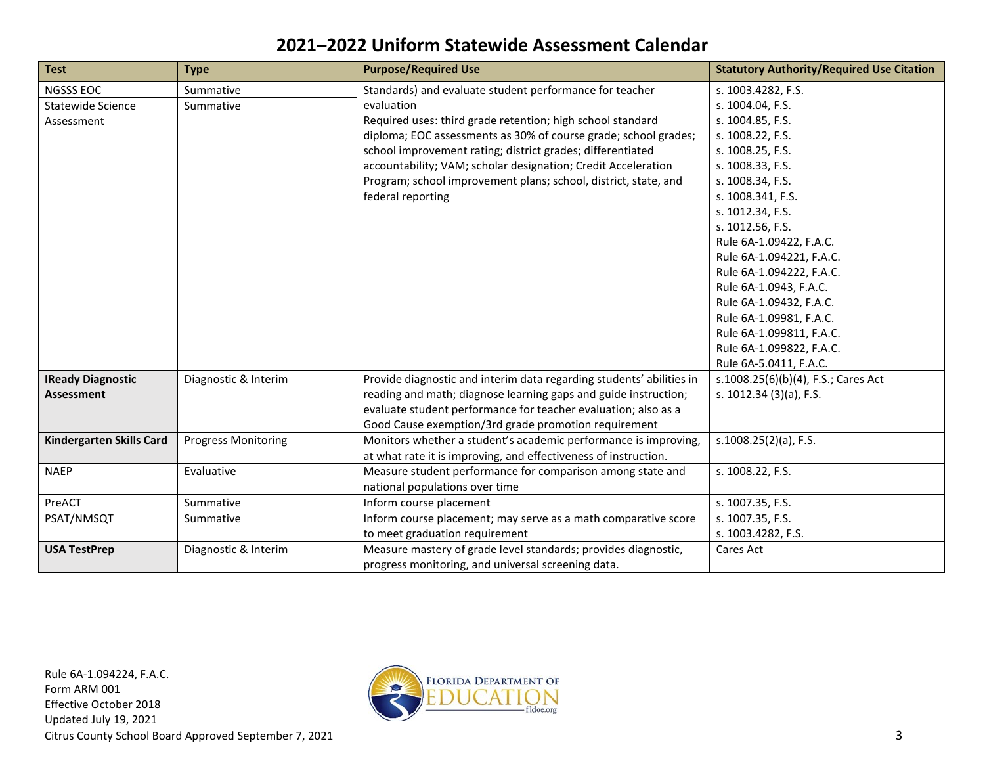| <b>Test</b>                     | <b>Type</b>                | <b>Purpose/Required Use</b>                                          | <b>Statutory Authority/Required Use Citation</b> |
|---------------------------------|----------------------------|----------------------------------------------------------------------|--------------------------------------------------|
| <b>NGSSS EOC</b>                | Summative                  | Standards) and evaluate student performance for teacher              | s. 1003.4282, F.S.                               |
| Statewide Science               | Summative                  | evaluation                                                           | s. 1004.04, F.S.                                 |
| Assessment                      |                            | Required uses: third grade retention; high school standard           | s. 1004.85, F.S.                                 |
|                                 |                            | diploma; EOC assessments as 30% of course grade; school grades;      | s. 1008.22, F.S.                                 |
|                                 |                            | school improvement rating; district grades; differentiated           | s. 1008.25, F.S.                                 |
|                                 |                            | accountability; VAM; scholar designation; Credit Acceleration        | s. 1008.33, F.S.                                 |
|                                 |                            | Program; school improvement plans; school, district, state, and      | s. 1008.34, F.S.                                 |
|                                 |                            | federal reporting                                                    | s. 1008.341, F.S.                                |
|                                 |                            |                                                                      | s. 1012.34, F.S.                                 |
|                                 |                            |                                                                      | s. 1012.56, F.S.                                 |
|                                 |                            |                                                                      | Rule 6A-1.09422, F.A.C.                          |
|                                 |                            |                                                                      | Rule 6A-1.094221, F.A.C.                         |
|                                 |                            |                                                                      | Rule 6A-1.094222, F.A.C.                         |
|                                 |                            |                                                                      | Rule 6A-1.0943, F.A.C.                           |
|                                 |                            |                                                                      | Rule 6A-1.09432, F.A.C.                          |
|                                 |                            |                                                                      | Rule 6A-1.09981, F.A.C.                          |
|                                 |                            |                                                                      | Rule 6A-1.099811, F.A.C.                         |
|                                 |                            |                                                                      | Rule 6A-1.099822, F.A.C.                         |
|                                 |                            |                                                                      | Rule 6A-5.0411, F.A.C.                           |
| <b>IReady Diagnostic</b>        | Diagnostic & Interim       | Provide diagnostic and interim data regarding students' abilities in | s.1008.25(6)(b)(4), F.S.; Cares Act              |
| <b>Assessment</b>               |                            | reading and math; diagnose learning gaps and guide instruction;      | s. 1012.34 (3)(a), F.S.                          |
|                                 |                            | evaluate student performance for teacher evaluation; also as a       |                                                  |
|                                 |                            | Good Cause exemption/3rd grade promotion requirement                 |                                                  |
| <b>Kindergarten Skills Card</b> | <b>Progress Monitoring</b> | Monitors whether a student's academic performance is improving,      | s.1008.25(2)(a), F.S.                            |
|                                 |                            | at what rate it is improving, and effectiveness of instruction.      |                                                  |
| <b>NAEP</b>                     | Evaluative                 | Measure student performance for comparison among state and           | s. 1008.22, F.S.                                 |
|                                 |                            | national populations over time                                       |                                                  |
| PreACT                          | Summative                  | Inform course placement                                              | s. 1007.35, F.S.                                 |
| PSAT/NMSQT                      | Summative                  | Inform course placement; may serve as a math comparative score       | s. 1007.35, F.S.                                 |
|                                 |                            | to meet graduation requirement                                       | s. 1003.4282, F.S.                               |
| <b>USA TestPrep</b>             | Diagnostic & Interim       | Measure mastery of grade level standards; provides diagnostic,       | Cares Act                                        |
|                                 |                            | progress monitoring, and universal screening data.                   |                                                  |

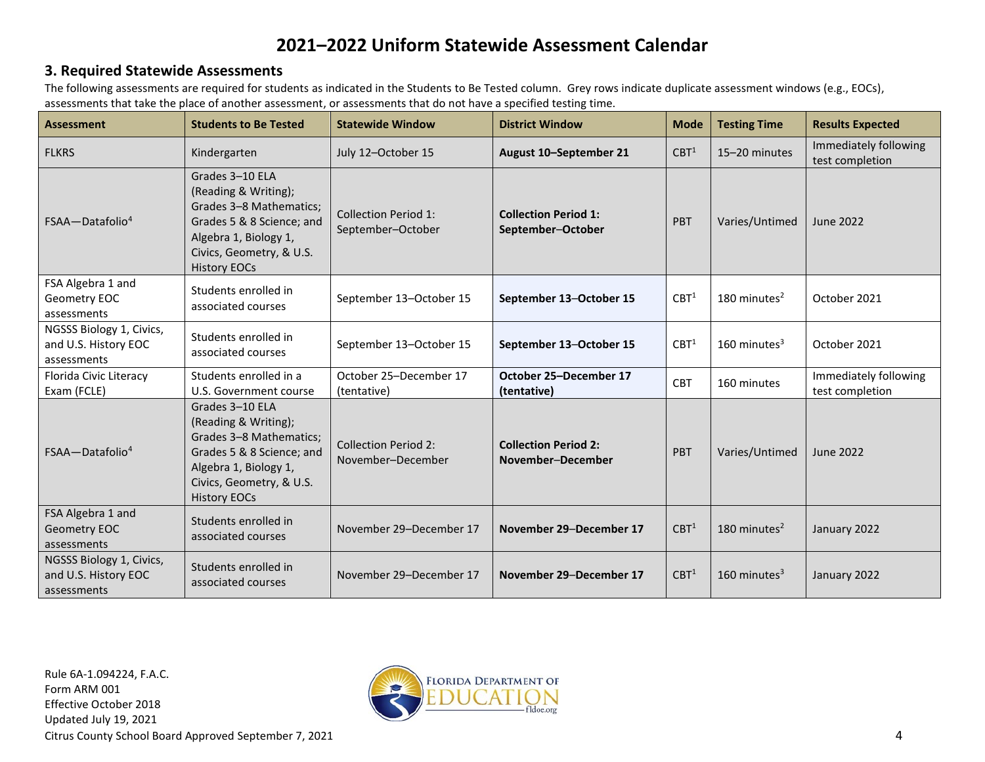#### **3. Required Statewide Assessments**

The following assessments are required for students as indicated in the Students to Be Tested column. Grey rows indicate duplicate assessment windows (e.g., EOCs), assessments that take the place of another assessment, or assessments that do not have a specified testing time.

| <b>Assessment</b>                                               | <b>Students to Be Tested</b>                                                                                                                                                | <b>Statewide Window</b>                                                                              | <b>District Window</b>                           | <b>Mode</b>      | <b>Testing Time</b>      | <b>Results Expected</b>                  |
|-----------------------------------------------------------------|-----------------------------------------------------------------------------------------------------------------------------------------------------------------------------|------------------------------------------------------------------------------------------------------|--------------------------------------------------|------------------|--------------------------|------------------------------------------|
| <b>FLKRS</b>                                                    | Kindergarten                                                                                                                                                                | July 12-October 15                                                                                   | August 10-September 21                           | CBT <sup>1</sup> | 15-20 minutes            | Immediately following<br>test completion |
| FSAA-Datafolio <sup>4</sup>                                     | Grades 3-10 ELA<br>(Reading & Writing);<br>Grades 3-8 Mathematics;<br>Grades 5 & 8 Science; and<br>Algebra 1, Biology 1,<br>Civics, Geometry, & U.S.<br><b>History EOCs</b> | <b>Collection Period 1:</b><br><b>Collection Period 1:</b><br>September-October<br>September-October |                                                  | <b>PBT</b>       | Varies/Untimed           | June 2022                                |
| FSA Algebra 1 and<br>Geometry EOC<br>assessments                | Students enrolled in<br>associated courses                                                                                                                                  | September 13-October 15                                                                              | September 13-October 15                          | CBT <sup>1</sup> | 180 minutes $2$          | October 2021                             |
| NGSSS Biology 1, Civics,<br>and U.S. History EOC<br>assessments | Students enrolled in<br>associated courses                                                                                                                                  | September 13-October 15                                                                              | September 13-October 15                          | CBT <sup>1</sup> | 160 minutes <sup>3</sup> | October 2021                             |
| Florida Civic Literacy<br>Exam (FCLE)                           | Students enrolled in a<br>U.S. Government course                                                                                                                            | October 25-December 17<br>(tentative)                                                                | October 25-December 17<br>(tentative)            | <b>CBT</b>       | 160 minutes              | Immediately following<br>test completion |
| FSAA-Datafolio <sup>4</sup>                                     | Grades 3-10 ELA<br>(Reading & Writing);<br>Grades 3-8 Mathematics;<br>Grades 5 & 8 Science; and<br>Algebra 1, Biology 1,<br>Civics, Geometry, & U.S.<br><b>History EOCs</b> | <b>Collection Period 2:</b><br>November-December                                                     | <b>Collection Period 2:</b><br>November-December | <b>PBT</b>       | Varies/Untimed           | <b>June 2022</b>                         |
| FSA Algebra 1 and<br>Geometry EOC<br>assessments                | Students enrolled in<br>associated courses                                                                                                                                  | November 29-December 17                                                                              | November 29-December 17                          | CBT <sup>1</sup> | 180 minutes $2$          | January 2022                             |
| NGSSS Biology 1, Civics,<br>and U.S. History EOC<br>assessments | Students enrolled in<br>associated courses                                                                                                                                  | November 29-December 17                                                                              | November 29-December 17                          | CBT <sup>1</sup> | 160 minutes $3$          | January 2022                             |

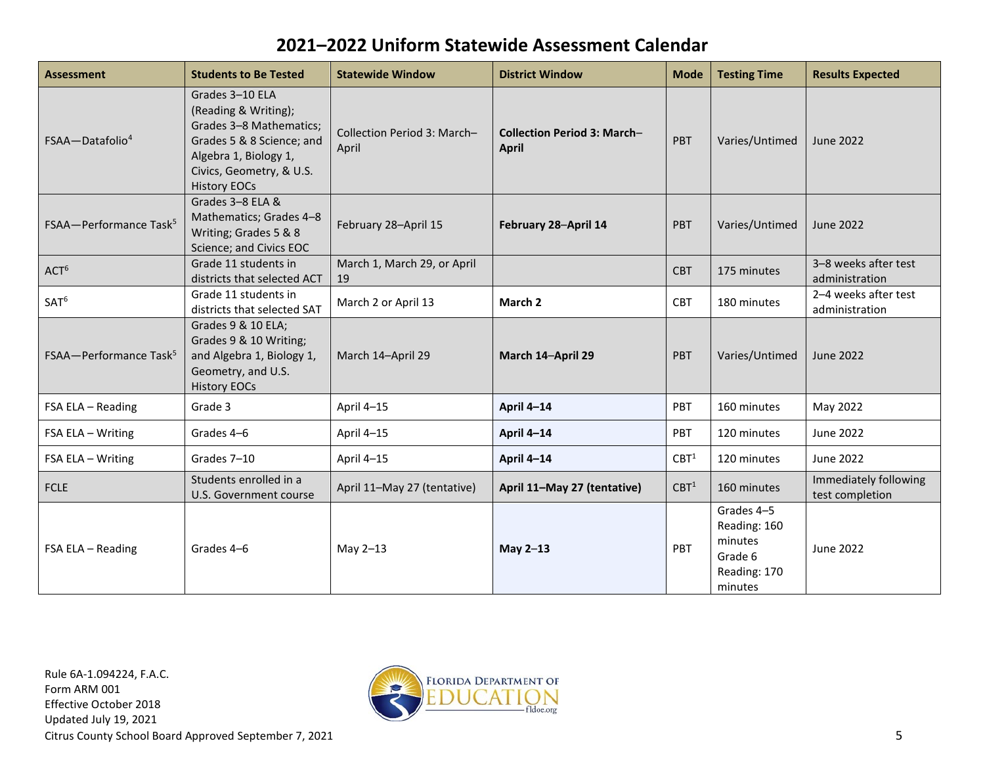| Assessment                         | <b>Students to Be Tested</b>                                                                                                                                                | <b>Statewide Window</b>                                                                    | <b>District Window</b>      | <b>Mode</b>      | <b>Testing Time</b>                                                         | <b>Results Expected</b>                  |
|------------------------------------|-----------------------------------------------------------------------------------------------------------------------------------------------------------------------------|--------------------------------------------------------------------------------------------|-----------------------------|------------------|-----------------------------------------------------------------------------|------------------------------------------|
| FSAA-Datafolio <sup>4</sup>        | Grades 3-10 ELA<br>(Reading & Writing);<br>Grades 3-8 Mathematics;<br>Grades 5 & 8 Science; and<br>Algebra 1, Biology 1,<br>Civics, Geometry, & U.S.<br><b>History EOCs</b> | Collection Period 3: March-<br><b>Collection Period 3: March-</b><br><b>April</b><br>April |                             | PBT              | Varies/Untimed                                                              | June 2022                                |
| FSAA-Performance Task <sup>5</sup> | Grades 3-8 ELA &<br>Mathematics; Grades 4-8<br>Writing; Grades 5 & 8<br>Science; and Civics EOC                                                                             | February 28-April 15<br>February 28-April 14                                               |                             | <b>PBT</b>       | Varies/Untimed                                                              | June 2022                                |
| ACT <sup>6</sup>                   | Grade 11 students in<br>districts that selected ACT                                                                                                                         | March 1, March 29, or April<br>19                                                          |                             | <b>CBT</b>       | 175 minutes                                                                 | 3-8 weeks after test<br>administration   |
| SAT <sup>6</sup>                   | Grade 11 students in<br>districts that selected SAT                                                                                                                         | March <sub>2</sub><br>March 2 or April 13                                                  |                             | <b>CBT</b>       | 180 minutes                                                                 | 2-4 weeks after test<br>administration   |
| FSAA-Performance Task <sup>5</sup> | Grades 9 & 10 ELA;<br>Grades 9 & 10 Writing;<br>and Algebra 1, Biology 1,<br>Geometry, and U.S.<br><b>History EOCs</b>                                                      | March 14-April 29<br>March 14-April 29                                                     |                             | PBT              | Varies/Untimed                                                              | <b>June 2022</b>                         |
| FSA ELA - Reading                  | Grade 3                                                                                                                                                                     | April 4-15                                                                                 | April 4-14                  | PBT              | 160 minutes                                                                 | May 2022                                 |
| FSA ELA - Writing                  | Grades 4-6                                                                                                                                                                  | April 4-15                                                                                 | April 4-14                  | PBT              | 120 minutes                                                                 | June 2022                                |
| FSA ELA - Writing                  | Grades 7-10                                                                                                                                                                 | April 4-15                                                                                 | April 4-14                  | CBT <sup>1</sup> | 120 minutes                                                                 | June 2022                                |
| <b>FCLE</b>                        | Students enrolled in a<br>U.S. Government course                                                                                                                            | April 11-May 27 (tentative)                                                                | April 11-May 27 (tentative) | CBT <sup>1</sup> | 160 minutes                                                                 | Immediately following<br>test completion |
| FSA ELA - Reading                  | Grades 4-6                                                                                                                                                                  | May 2-13                                                                                   | May 2-13                    | PBT              | Grades 4-5<br>Reading: 160<br>minutes<br>Grade 6<br>Reading: 170<br>minutes | June 2022                                |

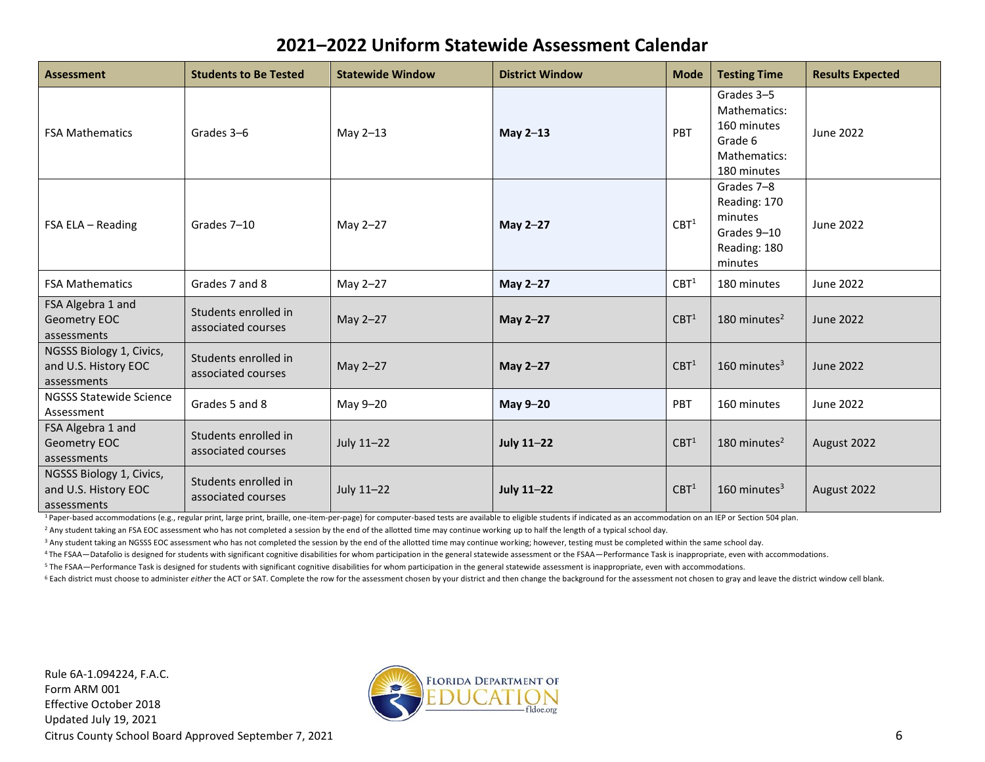| <b>Assessment</b>                                               | <b>Students to Be Tested</b>               | <b>Statewide Window</b> | <b>District Window</b> | <b>Mode</b>      | <b>Testing Time</b>                                                                 | <b>Results Expected</b> |
|-----------------------------------------------------------------|--------------------------------------------|-------------------------|------------------------|------------------|-------------------------------------------------------------------------------------|-------------------------|
| <b>FSA Mathematics</b>                                          | Grades 3-6                                 | May 2-13                | May $2-13$             | <b>PBT</b>       | Grades 3-5<br>Mathematics:<br>160 minutes<br>Grade 6<br>Mathematics:<br>180 minutes | <b>June 2022</b>        |
| FSA ELA - Reading                                               | Grades 7-10                                | May 2-27                | May 2-27               | CBT <sup>1</sup> | Grades 7-8<br>Reading: 170<br>minutes<br>Grades 9-10<br>Reading: 180<br>minutes     | June 2022               |
| <b>FSA Mathematics</b>                                          | Grades 7 and 8                             | May 2-27                | May 2-27               | CBT <sup>1</sup> | 180 minutes                                                                         | <b>June 2022</b>        |
| FSA Algebra 1 and<br>Geometry EOC<br>assessments                | Students enrolled in<br>associated courses | May 2-27                | May 2-27               | CBT <sup>1</sup> | 180 minutes $2$                                                                     | <b>June 2022</b>        |
| NGSSS Biology 1, Civics,<br>and U.S. History EOC<br>assessments | Students enrolled in<br>associated courses | May 2-27                | May 2-27               | CBT <sup>1</sup> | 160 minutes $3$                                                                     | <b>June 2022</b>        |
| <b>NGSSS Statewide Science</b><br>Assessment                    | Grades 5 and 8                             | May 9-20                | May 9-20               | PBT              | 160 minutes                                                                         | <b>June 2022</b>        |
| FSA Algebra 1 and<br>Geometry EOC<br>assessments                | Students enrolled in<br>associated courses | July 11-22              | <b>July 11-22</b>      | CBT <sup>1</sup> | 180 minutes $2$                                                                     | August 2022             |
| NGSSS Biology 1, Civics,<br>and U.S. History EOC<br>assessments | Students enrolled in<br>associated courses | July 11-22              | <b>July 11-22</b>      | CBT <sup>1</sup> | 160 minutes $3$                                                                     | August 2022             |

<sup>1</sup>Paper-based accommodations (e.g., regular print, large print, braille, one-item-per-page) for computer-based tests are available to eligible students if indicated as an accommodation on an IEP or Section 504 plan.

<sup>2</sup> Any student taking an FSA EOC assessment who has not completed a session by the end of the allotted time may continue working up to half the length of a typical school day.

<sup>3</sup> Any student taking an NGSSS EOC assessment who has not completed the session by the end of the allotted time may continue working; however, testing must be completed within the same school day.

<sup>4</sup>The FSAA—Datafolio is designed for students with significant cognitive disabilities for whom participation in the general statewide assessment or the FSAA—Performance Task is inappropriate, even with accommodations.

<sup>5</sup> The FSAA—Performance Task is designed for students with significant cognitive disabilities for whom participation in the general statewide assessment is inappropriate, even with accommodations.

<sup>6</sup> Each district must choose to administer either the ACT or SAT. Complete the row for the assessment chosen by your district and then change the background for the assessment not chosen to gray and leave the district win

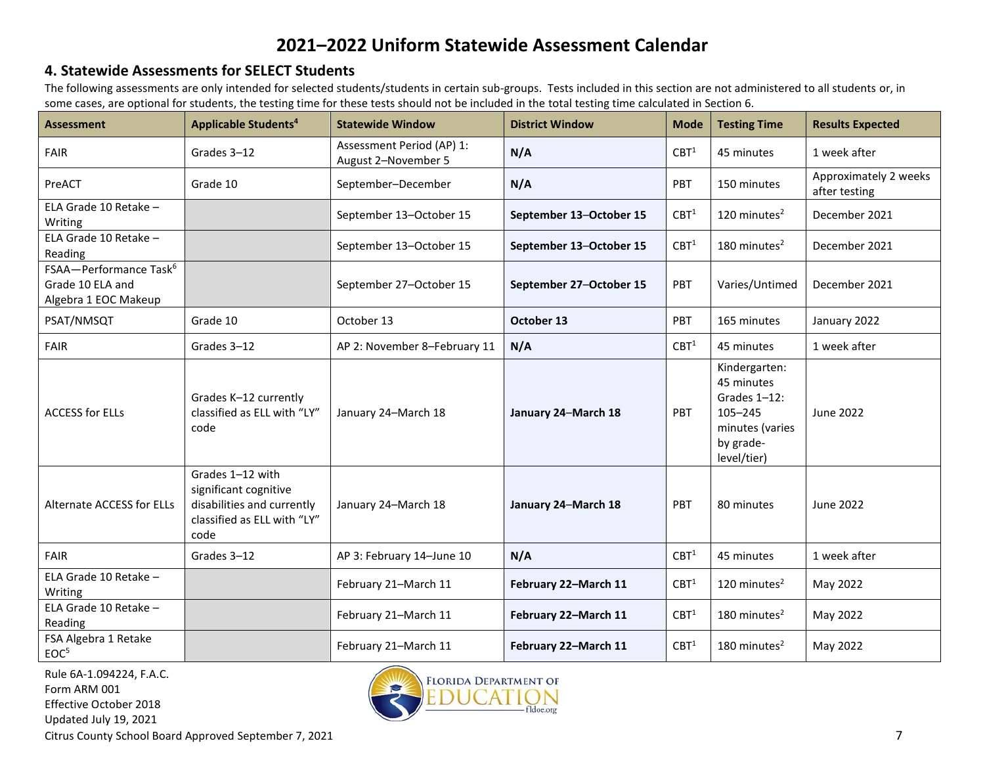### **4. Statewide Assessments for SELECT Students**

The following assessments are only intended for selected students/students in certain sub-groups. Tests included in this section are not administered to all students or, in some cases, are optional for students, the testing time for these tests should not be included in the total testing time calculated in Section 6.

| <b>Assessment</b>                                                              | <b>Applicable Students<sup>4</sup></b>                                                                         | <b>Statewide Window</b><br><b>District Window</b> |                                | <b>Mode</b>      | <b>Testing Time</b>                                                                                       | <b>Results Expected</b>                |
|--------------------------------------------------------------------------------|----------------------------------------------------------------------------------------------------------------|---------------------------------------------------|--------------------------------|------------------|-----------------------------------------------------------------------------------------------------------|----------------------------------------|
| FAIR                                                                           | Grades 3-12                                                                                                    | Assessment Period (AP) 1:<br>August 2-November 5  | N/A<br>CBT <sup>1</sup>        |                  | 45 minutes                                                                                                | 1 week after                           |
| PreACT                                                                         | Grade 10                                                                                                       | September-December                                | N/A<br><b>PBT</b>              |                  | 150 minutes                                                                                               | Approximately 2 weeks<br>after testing |
| ELA Grade 10 Retake -<br>Writing                                               |                                                                                                                | September 13-October 15                           | September 13-October 15        | CBT <sup>1</sup> | 120 minutes $2$                                                                                           | December 2021                          |
| ELA Grade 10 Retake -<br>Reading                                               |                                                                                                                | September 13-October 15                           | September 13-October 15        | CBT <sup>1</sup> | 180 minutes <sup>2</sup>                                                                                  | December 2021                          |
| FSAA-Performance Task <sup>6</sup><br>Grade 10 ELA and<br>Algebra 1 EOC Makeup |                                                                                                                | September 27-October 15                           | PBT<br>September 27-October 15 |                  | Varies/Untimed                                                                                            | December 2021                          |
| PSAT/NMSQT                                                                     | Grade 10                                                                                                       | October 13                                        | October 13<br><b>PBT</b>       |                  | 165 minutes                                                                                               | January 2022                           |
| <b>FAIR</b>                                                                    | Grades 3-12                                                                                                    | AP 2: November 8-February 11                      | N/A                            | CBT <sup>1</sup> | 45 minutes                                                                                                | 1 week after                           |
| <b>ACCESS for ELLs</b>                                                         | Grades K-12 currently<br>classified as ELL with "LY"<br>code                                                   | January 24-March 18                               | January 24-March 18            | <b>PBT</b>       | Kindergarten:<br>45 minutes<br>Grades 1-12:<br>$105 - 245$<br>minutes (varies<br>by grade-<br>level/tier) | June 2022                              |
| <b>Alternate ACCESS for ELLs</b>                                               | Grades 1-12 with<br>significant cognitive<br>disabilities and currently<br>classified as ELL with "LY"<br>code | January 24-March 18<br>January 24-March 18        |                                | PBT              | 80 minutes                                                                                                | <b>June 2022</b>                       |
| <b>FAIR</b>                                                                    | Grades 3-12                                                                                                    | AP 3: February 14-June 10                         | N/A                            | CBT <sup>1</sup> | 45 minutes                                                                                                | 1 week after                           |
| ELA Grade 10 Retake -<br>Writing                                               |                                                                                                                | February 21-March 11                              | February 22-March 11           | CBT <sup>1</sup> | 120 minutes $2$                                                                                           | May 2022                               |
| ELA Grade 10 Retake -<br>Reading                                               |                                                                                                                | February 21-March 11                              | February 22-March 11           | CBT <sup>1</sup> | 180 minutes $2$                                                                                           | May 2022                               |
| FSA Algebra 1 Retake<br>EOC <sup>5</sup>                                       |                                                                                                                | February 21-March 11                              | February 22-March 11           | CBT <sup>1</sup> | 180 minutes $2$                                                                                           | May 2022                               |

Rule 6A-1.094224, F.A.C. Form ARM 001 Effective October 2018 Updated July 19, 2021



Citrus County School Board Approved September 7, 2021 7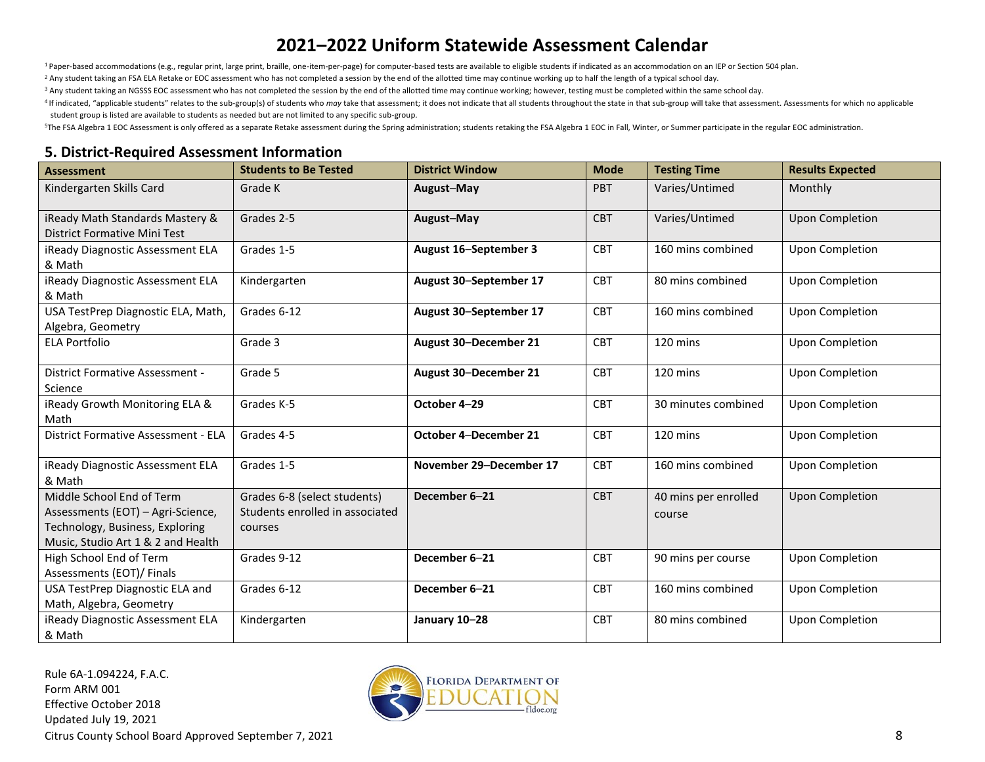<sup>1</sup> Paper-based accommodations (e.g., regular print, large print, braille, one-item-per-page) for computer-based tests are available to eligible students if indicated as an accommodation on an IEP or Section 504 plan.

<sup>2</sup> Any student taking an FSA ELA Retake or EOC assessment who has not completed a session by the end of the allotted time may continue working up to half the length of a typical school day.

<sup>3</sup> Any student taking an NGSSS EOC assessment who has not completed the session by the end of the allotted time may continue working; however, testing must be completed within the same school day.

<sup>4</sup> If indicated, "applicable students" relates to the sub-group(s) of students who may take that assessment; it does not indicate that all students throughout the state in that sub-group will take that assessment. Assessm student group is listed are available to students as needed but are not limited to any specific sub-group.

<sup>5</sup>The FSA Algebra 1 EOC Assessment is only offered as a separate Retake assessment during the Spring administration; students retaking the FSA Algebra 1 EOC in Fall, Winter, or Summer participate in the regular EOC admini

#### **5. District-Required Assessment Information**

| <b>Assessment</b>                                                                                                                       | <b>Students to Be Tested</b>                                               | <b>District Window</b>       | <b>Mode</b> | <b>Testing Time</b>            | <b>Results Expected</b> |
|-----------------------------------------------------------------------------------------------------------------------------------------|----------------------------------------------------------------------------|------------------------------|-------------|--------------------------------|-------------------------|
| Kindergarten Skills Card                                                                                                                | Grade K                                                                    | August-May                   | <b>PBT</b>  | Varies/Untimed                 | Monthly                 |
| iReady Math Standards Mastery &<br><b>District Formative Mini Test</b>                                                                  | Grades 2-5                                                                 | August-May                   | <b>CBT</b>  | Varies/Untimed                 | <b>Upon Completion</b>  |
| iReady Diagnostic Assessment ELA<br>& Math                                                                                              | Grades 1-5                                                                 | August 16-September 3        | <b>CBT</b>  | 160 mins combined              | <b>Upon Completion</b>  |
| iReady Diagnostic Assessment ELA<br>& Math                                                                                              | Kindergarten                                                               | August 30-September 17       | CBT         | 80 mins combined               | <b>Upon Completion</b>  |
| USA TestPrep Diagnostic ELA, Math,<br>Algebra, Geometry                                                                                 | Grades 6-12                                                                | August 30-September 17       | <b>CBT</b>  | 160 mins combined              | <b>Upon Completion</b>  |
| <b>ELA Portfolio</b>                                                                                                                    | Grade 3                                                                    | August 30-December 21        | CBT         | 120 mins                       | <b>Upon Completion</b>  |
| <b>District Formative Assessment -</b><br>Science                                                                                       | Grade 5                                                                    | August 30-December 21        | <b>CBT</b>  | 120 mins                       | <b>Upon Completion</b>  |
| iReady Growth Monitoring ELA &<br>Math                                                                                                  | Grades K-5                                                                 | October 4-29                 | CBT         | 30 minutes combined            | <b>Upon Completion</b>  |
| District Formative Assessment - ELA                                                                                                     | Grades 4-5                                                                 | <b>October 4-December 21</b> | CBT         | 120 mins                       | <b>Upon Completion</b>  |
| iReady Diagnostic Assessment ELA<br>& Math                                                                                              | Grades 1-5                                                                 | November 29-December 17      | <b>CBT</b>  | 160 mins combined              | <b>Upon Completion</b>  |
| Middle School End of Term<br>Assessments (EOT) - Agri-Science,<br>Technology, Business, Exploring<br>Music, Studio Art 1 & 2 and Health | Grades 6-8 (select students)<br>Students enrolled in associated<br>courses | December 6-21                | <b>CBT</b>  | 40 mins per enrolled<br>course | <b>Upon Completion</b>  |
| High School End of Term<br>Assessments (EOT)/ Finals                                                                                    | Grades 9-12                                                                | December 6-21                | <b>CBT</b>  | 90 mins per course             | <b>Upon Completion</b>  |
| USA TestPrep Diagnostic ELA and<br>Math, Algebra, Geometry                                                                              | Grades 6-12                                                                | December 6-21                | <b>CBT</b>  | 160 mins combined              | <b>Upon Completion</b>  |
| iReady Diagnostic Assessment ELA<br>& Math                                                                                              | Kindergarten                                                               | January 10-28                | CBT         | 80 mins combined               | <b>Upon Completion</b>  |

Rule 6A-1.094224, F.A.C. Form ARM 001 Effective October 2018 Updated July 19, 2021 Citrus County School Board Approved September 7, 2021 8

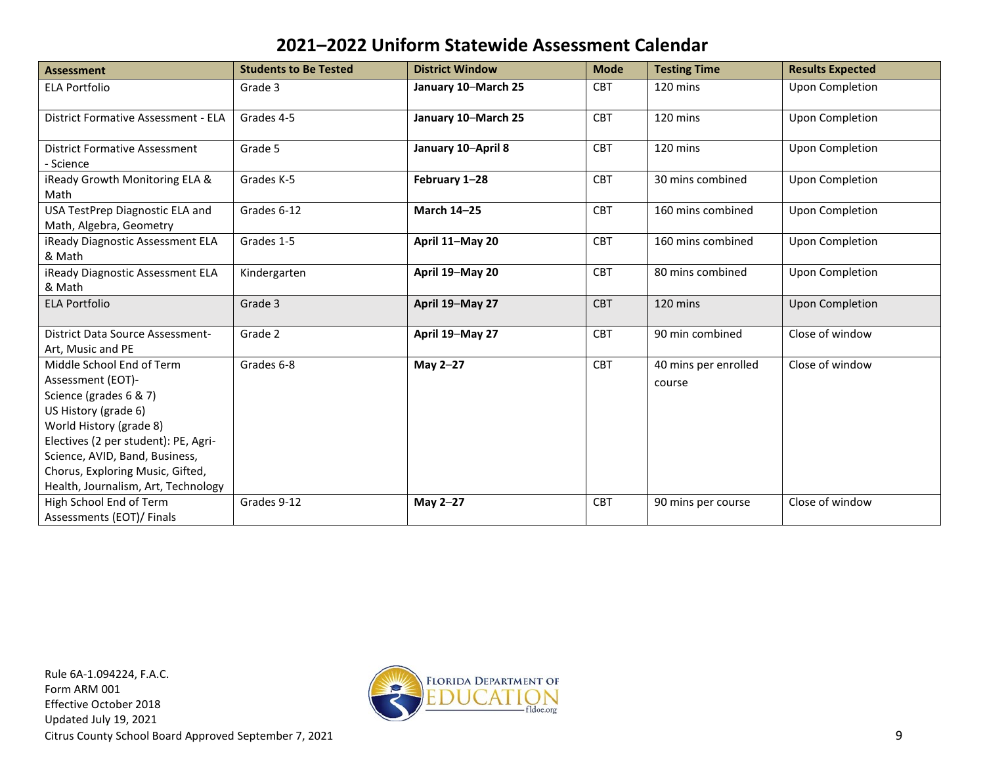| <b>Assessment</b>                                                                                                                                                                                                                                                                | <b>Students to Be Tested</b> | <b>District Window</b> | <b>Mode</b> | <b>Testing Time</b>            | <b>Results Expected</b> |
|----------------------------------------------------------------------------------------------------------------------------------------------------------------------------------------------------------------------------------------------------------------------------------|------------------------------|------------------------|-------------|--------------------------------|-------------------------|
| <b>ELA Portfolio</b>                                                                                                                                                                                                                                                             | Grade 3                      | January 10-March 25    | <b>CBT</b>  | 120 mins                       | <b>Upon Completion</b>  |
| District Formative Assessment - ELA                                                                                                                                                                                                                                              | Grades 4-5                   | January 10-March 25    | <b>CBT</b>  | 120 mins                       | <b>Upon Completion</b>  |
| <b>District Formative Assessment</b><br>- Science                                                                                                                                                                                                                                | Grade 5                      | January 10-April 8     | CBT         | 120 mins                       | <b>Upon Completion</b>  |
| iReady Growth Monitoring ELA &<br>Math                                                                                                                                                                                                                                           | Grades K-5                   | February 1-28          | CBT         | 30 mins combined               | <b>Upon Completion</b>  |
| USA TestPrep Diagnostic ELA and<br>Math, Algebra, Geometry                                                                                                                                                                                                                       | Grades 6-12                  | <b>March 14-25</b>     | CBT         | 160 mins combined              | <b>Upon Completion</b>  |
| iReady Diagnostic Assessment ELA<br>& Math                                                                                                                                                                                                                                       | Grades 1-5                   | April 11-May 20        | <b>CBT</b>  | 160 mins combined              | <b>Upon Completion</b>  |
| iReady Diagnostic Assessment ELA<br>& Math                                                                                                                                                                                                                                       | Kindergarten                 | April 19-May 20        | <b>CBT</b>  | 80 mins combined               | <b>Upon Completion</b>  |
| <b>ELA Portfolio</b>                                                                                                                                                                                                                                                             | Grade 3                      | April 19-May 27        | <b>CBT</b>  | 120 mins                       | <b>Upon Completion</b>  |
| District Data Source Assessment-<br>Art, Music and PE                                                                                                                                                                                                                            | Grade 2                      | April 19-May 27        | <b>CBT</b>  | 90 min combined                | Close of window         |
| Middle School End of Term<br>Assessment (EOT)-<br>Science (grades 6 & 7)<br>US History (grade 6)<br>World History (grade 8)<br>Electives (2 per student): PE, Agri-<br>Science, AVID, Band, Business,<br>Chorus, Exploring Music, Gifted,<br>Health, Journalism, Art, Technology | Grades 6-8                   | May 2-27               | CBT         | 40 mins per enrolled<br>course | Close of window         |
| High School End of Term<br>Assessments (EOT)/ Finals                                                                                                                                                                                                                             | Grades 9-12                  | May 2-27               | CBT         | 90 mins per course             | Close of window         |